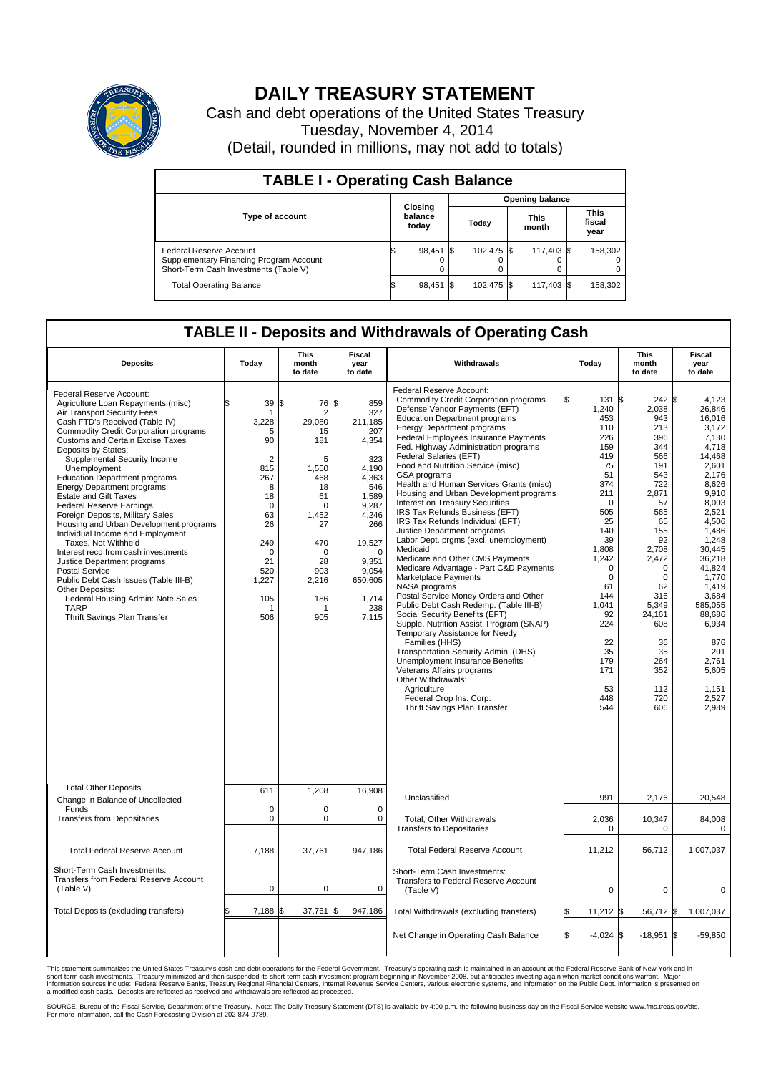

## **DAILY TREASURY STATEMENT**

Cash and debt operations of the United States Treasury Tuesday, November 4, 2014 (Detail, rounded in millions, may not add to totals)

| <b>TABLE I - Operating Cash Balance</b>                                                                     |                             |           |       |            |                      |            |  |                               |  |  |  |
|-------------------------------------------------------------------------------------------------------------|-----------------------------|-----------|-------|------------|----------------------|------------|--|-------------------------------|--|--|--|
| <b>Opening balance</b>                                                                                      |                             |           |       |            |                      |            |  |                               |  |  |  |
| <b>Type of account</b>                                                                                      | Closing<br>balance<br>today |           | Today |            | <b>This</b><br>month |            |  | <b>This</b><br>fiscal<br>year |  |  |  |
| Federal Reserve Account<br>Supplementary Financing Program Account<br>Short-Term Cash Investments (Table V) |                             | 98,451 \$ |       | 102.475 \$ |                      | 117.403 \$ |  | 158,302                       |  |  |  |
| <b>Total Operating Balance</b>                                                                              |                             | 98,451 \$ |       | 102.475 \$ |                      | 117,403 \$ |  | 158,302                       |  |  |  |

## **TABLE II - Deposits and Withdrawals of Operating Cash**

| <b>Deposits</b>                                                                                                                                                                                                                                                                                                                                                                                                                                                                                                                                                                                                                                                                                                                                                                                                                           | Today                                                                                                                                                                   | <b>This</b><br>month<br>to date                                                                                                                                          | Fiscal<br>year<br>to date                                                                                                                                                              | Withdrawals                                                                                                                                                                                                                                                                                                                                                                                                                                                                                                                                                                                                                                                                                                                                                                                                                                                                                                                                                                                                                                                                                                                                                                                        | Today                                                                                                                                                                                                                                                      | <b>This</b><br>month<br>to date                                                                                                                                                                                                                             | Fiscal<br>year<br>to date                                                                                                                                                                                                                                                                         |
|-------------------------------------------------------------------------------------------------------------------------------------------------------------------------------------------------------------------------------------------------------------------------------------------------------------------------------------------------------------------------------------------------------------------------------------------------------------------------------------------------------------------------------------------------------------------------------------------------------------------------------------------------------------------------------------------------------------------------------------------------------------------------------------------------------------------------------------------|-------------------------------------------------------------------------------------------------------------------------------------------------------------------------|--------------------------------------------------------------------------------------------------------------------------------------------------------------------------|----------------------------------------------------------------------------------------------------------------------------------------------------------------------------------------|----------------------------------------------------------------------------------------------------------------------------------------------------------------------------------------------------------------------------------------------------------------------------------------------------------------------------------------------------------------------------------------------------------------------------------------------------------------------------------------------------------------------------------------------------------------------------------------------------------------------------------------------------------------------------------------------------------------------------------------------------------------------------------------------------------------------------------------------------------------------------------------------------------------------------------------------------------------------------------------------------------------------------------------------------------------------------------------------------------------------------------------------------------------------------------------------------|------------------------------------------------------------------------------------------------------------------------------------------------------------------------------------------------------------------------------------------------------------|-------------------------------------------------------------------------------------------------------------------------------------------------------------------------------------------------------------------------------------------------------------|---------------------------------------------------------------------------------------------------------------------------------------------------------------------------------------------------------------------------------------------------------------------------------------------------|
| Federal Reserve Account:<br>Agriculture Loan Repayments (misc)<br>Air Transport Security Fees<br>Cash FTD's Received (Table IV)<br><b>Commodity Credit Corporation programs</b><br><b>Customs and Certain Excise Taxes</b><br>Deposits by States:<br>Supplemental Security Income<br>Unemployment<br><b>Education Department programs</b><br><b>Energy Department programs</b><br><b>Estate and Gift Taxes</b><br><b>Federal Reserve Earnings</b><br>Foreign Deposits, Military Sales<br>Housing and Urban Development programs<br>Individual Income and Employment<br>Taxes. Not Withheld<br>Interest recd from cash investments<br>Justice Department programs<br><b>Postal Service</b><br>Public Debt Cash Issues (Table III-B)<br>Other Deposits:<br>Federal Housing Admin: Note Sales<br><b>TARP</b><br>Thrift Savings Plan Transfer | \$<br>39<br>1<br>3.228<br>5<br>90<br>$\overline{2}$<br>815<br>267<br>8<br>18<br>$\mathbf 0$<br>63<br>26<br>249<br>$\mathbf 0$<br>21<br>520<br>1,227<br>105<br>-1<br>506 | 1\$<br>76 \$<br>$\overline{2}$<br>29.080<br>15<br>181<br>5<br>1,550<br>468<br>18<br>61<br>$\Omega$<br>1.452<br>27<br>470<br>$\Omega$<br>28<br>903<br>2,216<br>186<br>905 | 859<br>327<br>211,185<br>207<br>4,354<br>323<br>4,190<br>4,363<br>546<br>1,589<br>9,287<br>4.246<br>266<br>19,527<br>$\mathbf 0$<br>9.351<br>9,054<br>650,605<br>1,714<br>238<br>7,115 | Federal Reserve Account:<br><b>Commodity Credit Corporation programs</b><br>Defense Vendor Payments (EFT)<br><b>Education Department programs</b><br><b>Energy Department programs</b><br>Federal Employees Insurance Payments<br>Fed. Highway Administration programs<br>Federal Salaries (EFT)<br>Food and Nutrition Service (misc)<br>GSA programs<br>Health and Human Services Grants (misc)<br>Housing and Urban Development programs<br>Interest on Treasury Securities<br>IRS Tax Refunds Business (EFT)<br>IRS Tax Refunds Individual (EFT)<br>Justice Department programs<br>Labor Dept. prgms (excl. unemployment)<br>Medicaid<br>Medicare and Other CMS Payments<br>Medicare Advantage - Part C&D Payments<br>Marketplace Payments<br><b>NASA</b> programs<br>Postal Service Money Orders and Other<br>Public Debt Cash Redemp. (Table III-B)<br>Social Security Benefits (EFT)<br>Supple. Nutrition Assist. Program (SNAP)<br>Temporary Assistance for Needy<br>Families (HHS)<br>Transportation Security Admin. (DHS)<br>Unemployment Insurance Benefits<br>Veterans Affairs programs<br>Other Withdrawals:<br>Agriculture<br>Federal Crop Ins. Corp.<br>Thrift Savings Plan Transfer | l\$<br>131<br>1,240<br>453<br>110<br>226<br>159<br>419<br>75<br>51<br>374<br>211<br>$\mathbf 0$<br>505<br>25<br>140<br>39<br>1.808<br>1,242<br>$\mathbf 0$<br>$\mathbf 0$<br>61<br>144<br>1.041<br>92<br>224<br>22<br>35<br>179<br>171<br>53<br>448<br>544 | 242S<br>\$.<br>2,038<br>943<br>213<br>396<br>344<br>566<br>191<br>543<br>722<br>2,871<br>57<br>565<br>65<br>155<br>92<br>2.708<br>2.472<br>$\mathbf 0$<br>$\mathbf 0$<br>62<br>316<br>5,349<br>24,161<br>608<br>36<br>35<br>264<br>352<br>112<br>720<br>606 | 4.123<br>26,846<br>16.016<br>3,172<br>7,130<br>4,718<br>14,468<br>2.601<br>2,176<br>8,626<br>9.910<br>8,003<br>2,521<br>4.506<br>1,486<br>1,248<br>30.445<br>36,218<br>41,824<br>1,770<br>1.419<br>3,684<br>585,055<br>88,686<br>6,934<br>876<br>201<br>2,761<br>5,605<br>1,151<br>2,527<br>2,989 |
| <b>Total Other Deposits</b><br>Change in Balance of Uncollected                                                                                                                                                                                                                                                                                                                                                                                                                                                                                                                                                                                                                                                                                                                                                                           | 611                                                                                                                                                                     | 1,208                                                                                                                                                                    | 16,908                                                                                                                                                                                 | Unclassified                                                                                                                                                                                                                                                                                                                                                                                                                                                                                                                                                                                                                                                                                                                                                                                                                                                                                                                                                                                                                                                                                                                                                                                       | 991                                                                                                                                                                                                                                                        | 2,176                                                                                                                                                                                                                                                       | 20,548                                                                                                                                                                                                                                                                                            |
| Funds<br><b>Transfers from Depositaries</b>                                                                                                                                                                                                                                                                                                                                                                                                                                                                                                                                                                                                                                                                                                                                                                                               | 0<br>$\mathbf 0$                                                                                                                                                        | 0<br>0                                                                                                                                                                   | $\mathbf 0$<br>$\mathbf 0$                                                                                                                                                             | Total, Other Withdrawals<br><b>Transfers to Depositaries</b>                                                                                                                                                                                                                                                                                                                                                                                                                                                                                                                                                                                                                                                                                                                                                                                                                                                                                                                                                                                                                                                                                                                                       | 2,036<br>$\Omega$                                                                                                                                                                                                                                          | 10,347<br>$\Omega$                                                                                                                                                                                                                                          | 84,008<br>$\Omega$                                                                                                                                                                                                                                                                                |
| <b>Total Federal Reserve Account</b>                                                                                                                                                                                                                                                                                                                                                                                                                                                                                                                                                                                                                                                                                                                                                                                                      | 7.188                                                                                                                                                                   | 37,761                                                                                                                                                                   | 947,186                                                                                                                                                                                | <b>Total Federal Reserve Account</b>                                                                                                                                                                                                                                                                                                                                                                                                                                                                                                                                                                                                                                                                                                                                                                                                                                                                                                                                                                                                                                                                                                                                                               | 11,212                                                                                                                                                                                                                                                     | 56,712                                                                                                                                                                                                                                                      | 1,007,037                                                                                                                                                                                                                                                                                         |
| Short-Term Cash Investments:<br>Transfers from Federal Reserve Account<br>(Table V)                                                                                                                                                                                                                                                                                                                                                                                                                                                                                                                                                                                                                                                                                                                                                       | 0                                                                                                                                                                       | 0                                                                                                                                                                        | 0                                                                                                                                                                                      | Short-Term Cash Investments:<br>Transfers to Federal Reserve Account<br>(Table V)                                                                                                                                                                                                                                                                                                                                                                                                                                                                                                                                                                                                                                                                                                                                                                                                                                                                                                                                                                                                                                                                                                                  | 0                                                                                                                                                                                                                                                          | $\mathbf 0$                                                                                                                                                                                                                                                 | 0                                                                                                                                                                                                                                                                                                 |
| Total Deposits (excluding transfers)                                                                                                                                                                                                                                                                                                                                                                                                                                                                                                                                                                                                                                                                                                                                                                                                      | $7,188$ \$<br>\$                                                                                                                                                        | 37,761                                                                                                                                                                   | 947,186<br>1\$                                                                                                                                                                         | Total Withdrawals (excluding transfers)                                                                                                                                                                                                                                                                                                                                                                                                                                                                                                                                                                                                                                                                                                                                                                                                                                                                                                                                                                                                                                                                                                                                                            | 11,212                                                                                                                                                                                                                                                     | 56,712<br>I\$                                                                                                                                                                                                                                               | 1,007,037<br>\$                                                                                                                                                                                                                                                                                   |
|                                                                                                                                                                                                                                                                                                                                                                                                                                                                                                                                                                                                                                                                                                                                                                                                                                           |                                                                                                                                                                         |                                                                                                                                                                          |                                                                                                                                                                                        | Net Change in Operating Cash Balance                                                                                                                                                                                                                                                                                                                                                                                                                                                                                                                                                                                                                                                                                                                                                                                                                                                                                                                                                                                                                                                                                                                                                               | <b>S</b><br>$-4,024$                                                                                                                                                                                                                                       | $-18,951$ \$<br>ß.                                                                                                                                                                                                                                          | $-59,850$                                                                                                                                                                                                                                                                                         |

This statement summarizes the United States Treasury's cash and debt operations for the Federal Government. Treasury's operating cash is maintained in an account at the Federal Reserve Bank of New York and in<br>short-term ca

SOURCE: Bureau of the Fiscal Service, Department of the Treasury. Note: The Daily Treasury Statement (DTS) is available by 4:00 p.m. the following business day on the Fiscal Service website www.fms.treas.gov/dts.<br>For more